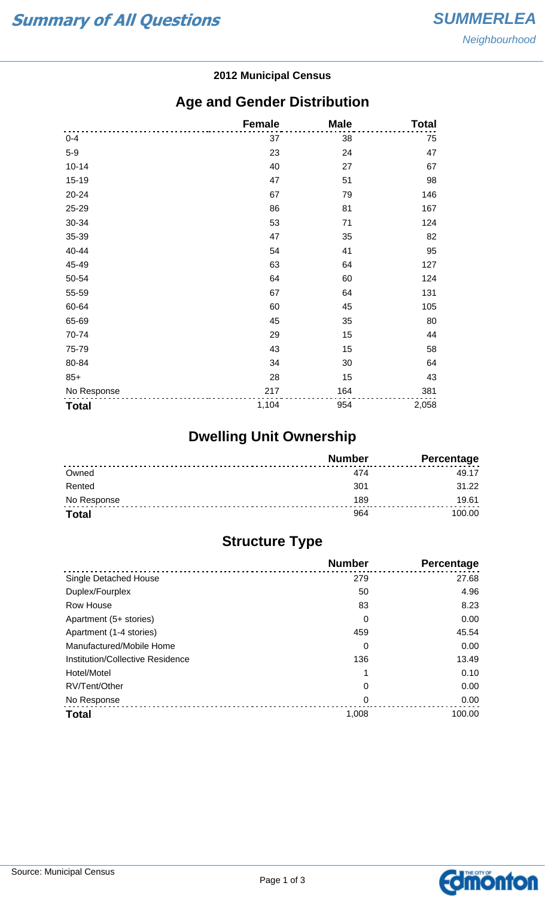#### **2012 Municipal Census**

## **Age and Gender Distribution**

|              | <b>Female</b> | <b>Male</b> | <b>Total</b> |
|--------------|---------------|-------------|--------------|
| $0 - 4$      | 37            | 38          | 75           |
| $5-9$        | 23            | 24          | 47           |
| $10 - 14$    | 40            | 27          | 67           |
| 15-19        | 47            | 51          | 98           |
| 20-24        | 67            | 79          | 146          |
| 25-29        | 86            | 81          | 167          |
| 30-34        | 53            | 71          | 124          |
| 35-39        | 47            | 35          | 82           |
| 40-44        | 54            | 41          | 95           |
| 45-49        | 63            | 64          | 127          |
| 50-54        | 64            | 60          | 124          |
| 55-59        | 67            | 64          | 131          |
| 60-64        | 60            | 45          | 105          |
| 65-69        | 45            | 35          | 80           |
| 70-74        | 29            | 15          | 44           |
| 75-79        | 43            | 15          | 58           |
| 80-84        | 34            | 30          | 64           |
| $85+$        | 28            | 15          | 43           |
| No Response  | 217           | 164         | 381          |
| <b>Total</b> | 1,104         | 954         | 2,058        |

# **Dwelling Unit Ownership**

|              | <b>Number</b> | Percentage |
|--------------|---------------|------------|
| Owned        | 474           | 49.17      |
| Rented       | 301           | 31.22      |
| No Response  | 189           | 19.61      |
| <b>Total</b> | 964           | 100.00     |

# **Structure Type**

|                                  | <b>Number</b> | Percentage |
|----------------------------------|---------------|------------|
| Single Detached House            | 279           | 27.68      |
| Duplex/Fourplex                  | 50            | 4.96       |
| Row House                        | 83            | 8.23       |
| Apartment (5+ stories)           | 0             | 0.00       |
| Apartment (1-4 stories)          | 459           | 45.54      |
| Manufactured/Mobile Home         | 0             | 0.00       |
| Institution/Collective Residence | 136           | 13.49      |
| Hotel/Motel                      |               | 0.10       |
| RV/Tent/Other                    | 0             | 0.00       |
| No Response                      | 0             | 0.00       |
| <b>Total</b>                     | 1,008         | 100.00     |

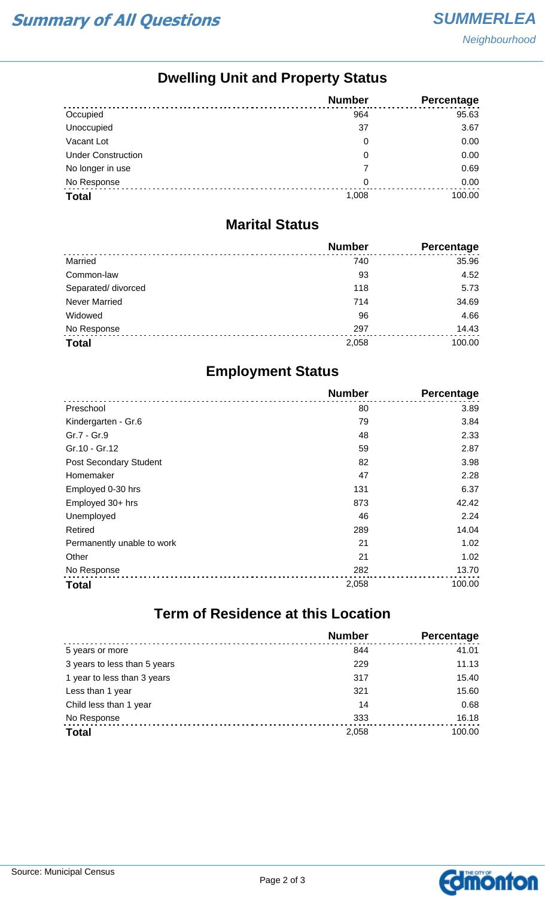## **Dwelling Unit and Property Status**

|                           | <b>Number</b> | Percentage |
|---------------------------|---------------|------------|
| Occupied                  | 964           | 95.63      |
| Unoccupied                | 37            | 3.67       |
| Vacant Lot                | 0             | 0.00       |
| <b>Under Construction</b> | 0             | 0.00       |
| No longer in use          | 7             | 0.69       |
| No Response               | 0             | 0.00       |
| <b>Total</b>              | 1,008         | 100.00     |

#### **Marital Status**

|                      | <b>Number</b> | Percentage |
|----------------------|---------------|------------|
| Married              | 740           | 35.96      |
| Common-law           | 93            | 4.52       |
| Separated/ divorced  | 118           | 5.73       |
| <b>Never Married</b> | 714           | 34.69      |
| Widowed              | 96            | 4.66       |
| No Response          | 297           | 14.43      |
| <b>Total</b>         | 2,058         | 100.00     |

## **Employment Status**

|                               | <b>Number</b> | Percentage |
|-------------------------------|---------------|------------|
| Preschool                     | 80            | 3.89       |
| Kindergarten - Gr.6           | 79            | 3.84       |
| Gr.7 - Gr.9                   | 48            | 2.33       |
| Gr.10 - Gr.12                 | 59            | 2.87       |
| <b>Post Secondary Student</b> | 82            | 3.98       |
| Homemaker                     | 47            | 2.28       |
| Employed 0-30 hrs             | 131           | 6.37       |
| Employed 30+ hrs              | 873           | 42.42      |
| Unemployed                    | 46            | 2.24       |
| Retired                       | 289           | 14.04      |
| Permanently unable to work    | 21            | 1.02       |
| Other                         | 21            | 1.02       |
| No Response                   | 282           | 13.70      |
| <b>Total</b>                  | 2,058         | 100.00     |

# **Term of Residence at this Location**

|                              | <b>Number</b> | <b>Percentage</b> |
|------------------------------|---------------|-------------------|
| 5 years or more              | 844           | 41.01             |
| 3 years to less than 5 years | 229           | 11.13             |
| 1 year to less than 3 years  | 317           | 15.40             |
| Less than 1 year             | 321           | 15.60             |
| Child less than 1 year       | 14            | 0.68              |
| No Response                  | 333           | 16.18             |
| <b>Total</b>                 | 2,058         | 100.00            |